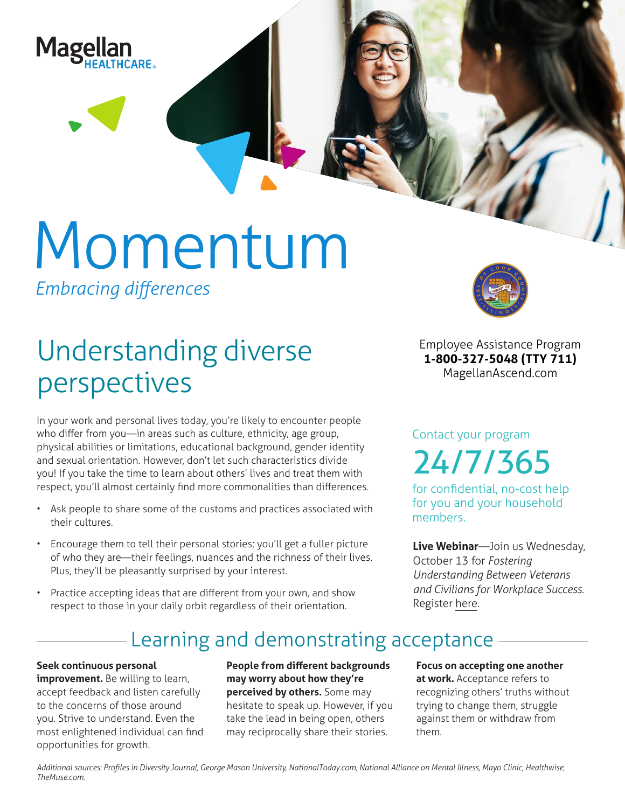

# Momentum

*Embracing differences*

## Understanding diverse perspectives

In your work and personal lives today, you're likely to encounter people who differ from you—in areas such as culture, ethnicity, age group, physical abilities or limitations, educational background, gender identity and sexual orientation. However, don't let such characteristics divide you! If you take the time to learn about others' lives and treat them with respect, you'll almost certainly find more commonalities than differences.

- Ask people to share some of the customs and practices associated with their cultures.
- Encourage them to tell their personal stories; you'll get a fuller picture of who they are—their feelings, nuances and the richness of their lives. Plus, they'll be pleasantly surprised by your interest.
- Practice accepting ideas that are different from your own, and show respect to those in your daily orbit regardless of their orientation.



**Employee Assistance Program 1-800-327-5048 (TTY 711) MagellanAscend.com**

Contact your program 24/7/365

for confidential, no-cost help for you and your household members.

**Live Webinar**—Join us Wednesday, October 13 for *Fostering Understanding Between Veterans and Civilians for Workplace Success.* Register [here.](https://events-na4.adobeconnect.com/content/connect/c1/825364167/en/events/event/shared/default_template_simple/event_registration.html?sco-id=1842583444&_charset_=utf-8)

### Learning and demonstrating acceptance

#### **Seek continuous personal**

**improvement.** Be willing to learn, accept feedback and listen carefully to the concerns of those around you. Strive to understand. Even the most enlightened individual can find opportunities for growth.

**People from different backgrounds may worry about how they're perceived by others.** Some may hesitate to speak up. However, if you take the lead in being open, others may reciprocally share their stories.

**Focus on accepting one another at work.** Acceptance refers to recognizing others' truths without trying to change them, struggle against them or withdraw from them.

*Additional sources: Profiles in Diversity Journal, George Mason University, NationalToday.com, National Alliance on Mental Illness, Mayo Clinic, Healthwise, TheMuse.com.*